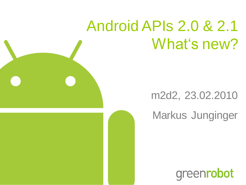# Android APIs 2.0 & 2.1 What's new?

#### m2d2, 23.02.2010

#### Markus Junginger

greenrobot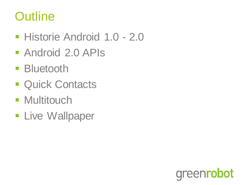#### **Outline**

- **Historie Android 1.0 2.0**
- **Android 2.0 APIs**
- **Bluetooth**
- **Quick Contacts**
- **Multitouch**
- **Live Wallpaper**

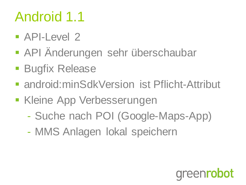## Android 1.1

- **API-Level 2**
- API Änderungen sehr überschaubar
- **Bugfix Release**
- android:minSdkVersion ist Pflicht-Attribut
- **Kleine App Verbesserungen** 
	- Suche nach POI (Google-Maps-App)
	- MMS Anlagen lokal speichern

## greenrobot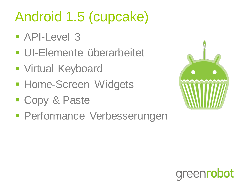# Android 1.5 (cupcake)

- API-Level 3
- **UI-Elemente überarbeitet**
- **Virtual Keyboard**
- **Home-Screen Widgets**
- Copy & Paste
- **Performance Verbesserungen**



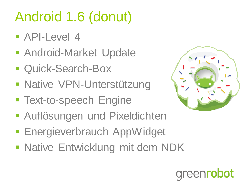# Android 1.6 (donut)

- **API-Level 4**
- **Android-Market Update**
- Quick-Search-Box
- **Native VPN-Unterstützung**
- **Text-to-speech Engine**



- **Auflösungen und Pixeldichten**
- **Energieverbrauch AppWidget**
- **Native Entwicklung mit dem NDK**

eenrobot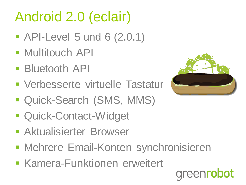# Android 2.0 (eclair)

- **API-Level 5 und 6 (2.0.1)**
- **Multitouch API**
- **Bluetooth API**
- **Verbesserte virtuelle Tastatur**
- Quick-Search (SMS, MMS)
- **Quick-Contact-Widget**
- **Aktualisierter Browser**
- Mehrere Email-Konten synchronisieren
- **Kamera-Funktionen erweitert**

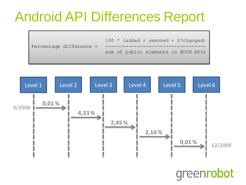### Android API Differences Report

 $100 *$  (added + removed + 2\*changed) Percentage difference  $=$ sum of public elements in BOTH APIs



greenrobot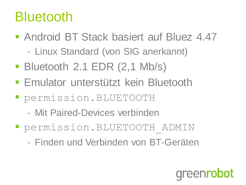### Bluetooth

- **Android BT Stack basiert auf Bluez 4.47** 
	- Linux Standard (von SIG anerkannt)
- Bluetooth 2.1 EDR (2,1 Mb/s)
- **Emulator unterstützt kein Bluetooth**
- permission.BLUETOOTH
	- Mit Paired-Devices verbinden
- permission.BLUETOOTH\_ADMIN
	- Finden und Verbinden von BT-Geräten

**areenrobot**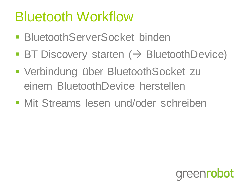## Bluetooth Workflow

- BluetoothServerSocket binden
- $\blacksquare$  BT Discovery starten ( $\rightarrow$  BluetoothDevice)
- Verbindung über BluetoothSocket zu einem BluetoothDevice herstellen
- **Mit Streams lesen und/oder schreiben**

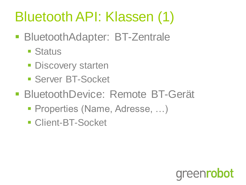## Bluetooth API: Klassen (1)

- **BluetoothAdapter: BT-Zentrale** 
	- **E** Status
	- **Discovery starten**
	- **Server BT-Socket**
- **BluetoothDevice: Remote BT-Gerät** 
	- Properties (Name, Adresse, …)
	- **Client-BT-Socket**

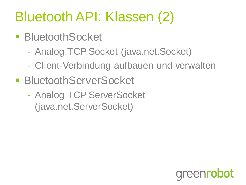## Bluetooth API: Klassen (2)

- BluetoothSocket
	- Analog TCP Socket (java.net.Socket)
	- Client-Verbindung aufbauen und verwalten
- BluetoothServerSocket
	- Analog TCP ServerSocket (java.net.ServerSocket)

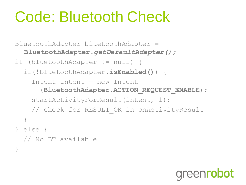# Code: Bluetooth Check

}

BluetoothAdapter bluetoothAdapter = **BluetoothAdapter.***getDefaultAdapter();* if (bluetoothAdapter != null) { if(!bluetoothAdapter.**isEnabled()**) { Intent intent = new Intent (**BluetoothAdapter.ACTION\_REQUEST\_ENABLE**); startActivityForResult(intent, 1); // check for RESULT OK in onActivityResult } } else { // No BT available

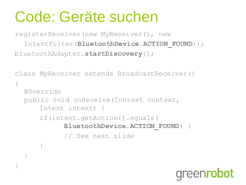## Code: Geräte suchen

registerReceiver(new MyReceiver(), new IntentFilter(**BluetoothDevice.ACTION FOUND**)); bluetoothAdapter.**startDiscovery**();

```
class MyReceiver extends BroadcastReceiver()
{
  @Override
  public void onReceive(Context context, 
      Intent intent) {
      if(intent.getAction().equals( 
            BluetoothDevice.ACTION_FOUND) {
            // See next slide
      }
  }
}
```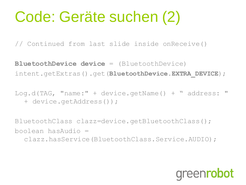# Code: Geräte suchen (2)

// Continued from last slide inside onReceive()

**BluetoothDevice device** = (BluetoothDevice) intent.getExtras().get(**BluetoothDevice.EXTRA\_DEVICE**);

Log.d(TAG, "name:" + device.getName() + " address: " + device.getAddress());

BluetoothClass clazz=device.getBluetoothClass(); boolean hasAudio = clazz.hasService(BluetoothClass.Service.AUDIO);

### **areenrobot**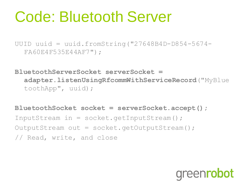# Code: Bluetooth Server

UUID uuid = uuid.fromString("27648B4D-D854-5674- FA60E4F535E44AF7");

**BluetoothServerSocket serverSocket = adapter.listenUsingRfcommWithServiceRecord**("MyBlue toothApp", uuid);

**BluetoothSocket socket = serverSocket.accept();**

InputStream in =  $socket.getInputStream()$ ; OutputStream out = socket.getOutputStream(); // Read, write, and close

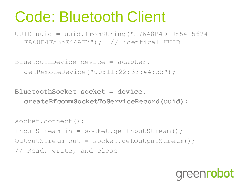# Code: Bluetooth Client

UUID uuid = uuid.fromString("27648B4D-D854-5674- FA60E4F535E44AF7"); // identical UUID

BluetoothDevice device = adapter. getRemoteDevice("00:11:22:33:44:55");

**BluetoothSocket socket = device. createRfcommSocketToServiceRecord(uuid);**

```
socket.connect();
InputStream in = socket.getInputStream();
OutputStream out = socket.getOutputStream();
// Read, write, and close
```
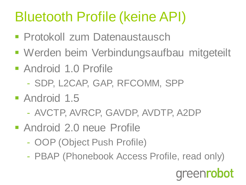## Bluetooth Profile (keine API)

- **Protokoll zum Datenaustausch**
- Werden beim Verbindungsaufbau mitgeteilt
- Android 1.0 Profile
	- SDP, L2CAP, GAP, RFCOMM, SPP
- Android 1.5
	- AVCTP, AVRCP, GAVDP, AVDTP, A2DP
- Android 2.0 neue Profile
	- OOP (Object Push Profile)
	- PBAP (Phonebook Access Profile, read only)

greenrobot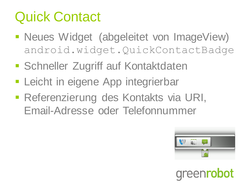## Quick Contact

- Neues Widget (abgeleitet von ImageView) android.widget.QuickContactBadge
- **Schneller Zugriff auf Kontaktdaten**
- **Leicht in eigene App integrierbar**
- **Referenzierung des Kontakts via URI,** Email-Adresse oder Telefonnummer



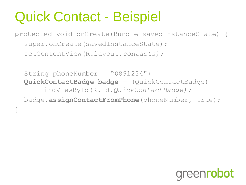## Quick Contact - Beispiel

}

protected void onCreate(Bundle savedInstanceState) { super.onCreate(savedInstanceState); setContentView(R.layout.*contacts);*

String phoneNumber = "0891234"; **QuickContactBadge badge** = (QuickContactBadge) findViewById(R.id.*QuickContactBadge);* badge.**assignContactFromPhone**(phoneNumber, true);

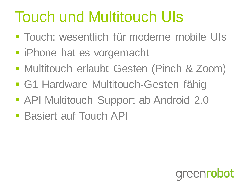# Touch und Multitouch UIs

- Touch: wesentlich für moderne mobile UIs
- **F** iPhone hat es vorgemacht
- **Multitouch erlaubt Gesten (Pinch & Zoom)**
- **G1 Hardware Multitouch-Gesten fähig**
- **API Multitouch Support ab Android 2.0**
- **Basiert auf Touch API**

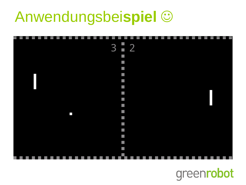# Anwendungsbei**spiel**



#### greenrobot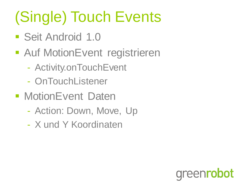# (Single) Touch Events

- Seit Android 1.0
- Auf MotionEvent registrieren
	- Activity.onTouchEvent
	- OnTouchListener
- **MotionEvent Daten** 
	- Action: Down, Move, Up

bot

areenro

- X und Y Koordinaten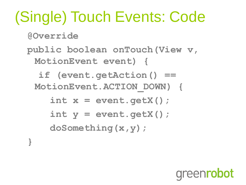# (Single) Touch Events: Code

**@Override**

**}**

**public boolean onTouch(View v, MotionEvent event) {**

 **if (event.getAction() == MotionEvent.ACTION\_DOWN) {**

 **int x = event.getX(); int y = event.getX(); doSomething(x,y);**

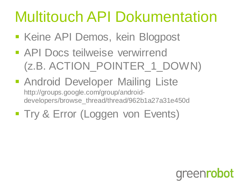# Multitouch API Dokumentation

- **Keine API Demos, kein Blogpost**
- **API Docs teilweise verwirrend** (z.B. ACTION\_POINTER\_1\_DOWN)
- **Android Developer Mailing Liste** http://groups.google.com/group/androiddevelopers/browse\_thread/thread/962b1a27a31e450d
- **Try & Error (Loggen von Events)**

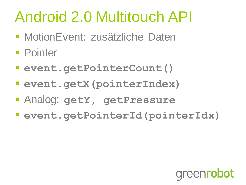# Android 2.0 Multitouch API

- **MotionEvent: zusätzliche Daten**
- **Pointer**
- **event.getPointerCount()**
- **event.getX(pointerIndex)**
- Analog: **getY, getPressure**
- **event.getPointerId(pointerIdx)**

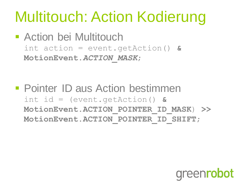# Multitouch: Action Kodierung

**- Action bei Multitouch** int action = event.getAction() **& MotionEvent.***ACTION\_MASK*;

**• Pointer ID aus Action bestimmen** int id = (event.getAction() **& MotionEvent.ACTION\_POINTER\_ID\_MASK**) **>> MotionEvent.ACTION\_POINTER\_ID\_SHIFT**;

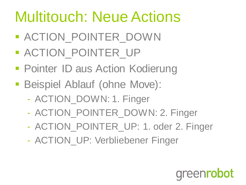# Multitouch: Neue Actions

- **ACTION POINTER DOWN**
- **ACTION POINTER UP**
- **Pointer ID aus Action Kodierung**
- **Beispiel Ablauf (ohne Move):** 
	- ACTION\_DOWN: 1. Finger
	- ACTION\_POINTER\_DOWN: 2. Finger
	- ACTION POINTER UP: 1. oder 2. Finger
	- ACTION UP: Verbliebener Finger

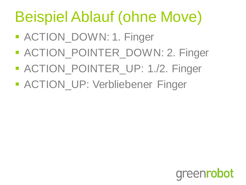# Beispiel Ablauf (ohne Move)

- **ACTION\_DOWN: 1. Finger**
- **ACTION\_POINTER\_DOWN: 2. Finger**
- **ACTION\_POINTER\_UP: 1./2. Finger**
- **ACTION\_UP: Verbliebener Finger**

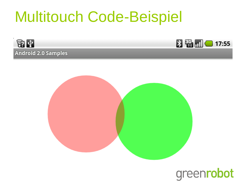## Multitouch Code-Beispiel







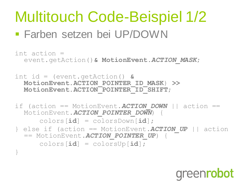# Multitouch Code-Beispiel 1/2

#### Farben setzen bei UP/DOWN

```
int action =
  event.getAction()& MotionEvent.ACTION_MASK;
```
int id = (event.getAction() **& MotionEvent.ACTION\_POINTER\_ID\_MASK**) **>> MotionEvent.ACTION\_POINTER\_ID\_SHIFT**;

```
if (action == MotionEvent. ACTION DOWN || action ==
  MotionEvent.ACTION_POINTER_DOWN) {
```
colors[**id**] = colorsDown[**id**];

} else if (action == MotionEvent.*ACTION\_UP* || action == MotionEvent.*ACTION\_POINTER\_UP*) {

colors[**id**] = colorsUp[**id**];

}

### greenrobot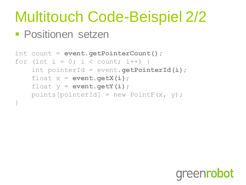# Multitouch Code-Beispiel 2/2

#### **Positionen setzen**

```
int count = event.getPointerCount();
for (int i = 0; i < count; i++) {
     int pointerId = event.getPointerId(i);
    float x = event.getX(i); float y = event.getY(i);
    points[pointerId] = new PointF(x, y);
}
```
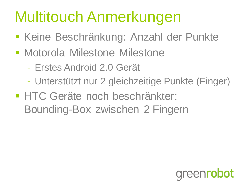# Multitouch Anmerkungen

- **Keine Beschränkung: Anzahl der Punkte**
- **Motorola Milestone Milestone** 
	- Erstes Android 2.0 Gerät
	- Unterstützt nur 2 gleichzeitige Punkte (Finger)
- **HTC Geräte noch beschränkter:** Bounding-Box zwischen 2 Fingern

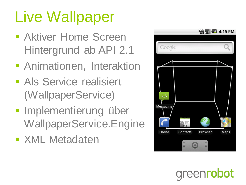# Live Wallpaper

- **Aktiver Home Screen** Hintergrund ab API 2.1
- **Animationen, Interaktion**
- **Als Service realisiert** (WallpaperService)
- **Implementierung über** WallpaperService.Engine
- **EXML Metadaten**



**areenrobot**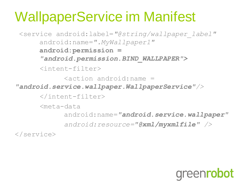## WallpaperService im Manifest

<service android:label=*"@string/wallpaper\_label"*  android:name=*".MyWallpaper1"* **android:permission =**  *"android.permission.BIND\_WALLPAPER">* <intent-filter>  $\zeta$  action android: name = *"android.service.wallpaper.WallpaperService"/>* </intent-filter> <meta-data android:name=*"android.service.wallpaper" android:resource="@xml/myxmlfile" />* </service>

greenrobot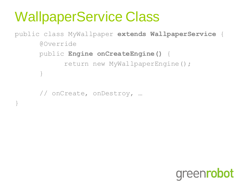## WallpaperService Class

public class MyWallpaper **extends WallpaperService** { @Override public **Engine onCreateEngine()** { return new MyWallpaperEngine(); }

// onCreate, onDestroy, …

}

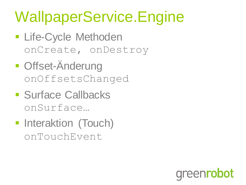# WallpaperService.Engine

- **Life-Cycle Methoden** onCreate, onDestroy
- **Offset-Anderung** onOffsetsChanged
- **Surface Callbacks** onSurface…
- **Interaktion (Touch)** onTouchEvent

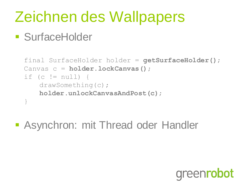# Zeichnen des Wallpapers

#### **SurfaceHolder**

```
final SurfaceHolder holder = getSurfaceHolder();
Canvas c = holder.lockCanvas();
if (c != null) {
   drawSomething(c); 
   holder.unlockCanvasAndPost(c);
}
```
**- Asynchron: mit Thread oder Handler** 

### **areenrobot**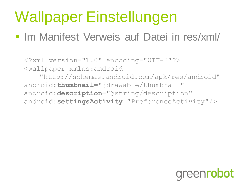# Wallpaper Einstellungen

#### **Im Manifest Verweis auf Datei in res/xml/**

<?xml version="1.0" encoding="UTF-8"?> <wallpaper xmlns:android = "http://schemas.android.com/apk/res/android" android:**thumbnail**="@drawable/thumbnail" android:**description**="@string/description" android:**settingsActivity**="PreferenceActivity"/>

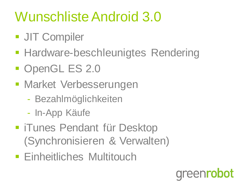## Wunschliste Android 3.0

- **JIT Compiler**
- **Hardware-beschleunigtes Rendering**
- **OpenGL ES 2.0**
- **Market Verbesserungen** 
	- Bezahlmöglichkeiten
	- In-App Käufe
- **FiTunes Pendant für Desktop** (Synchronisieren & Verwalten)
- **Einheitliches Multitouch**